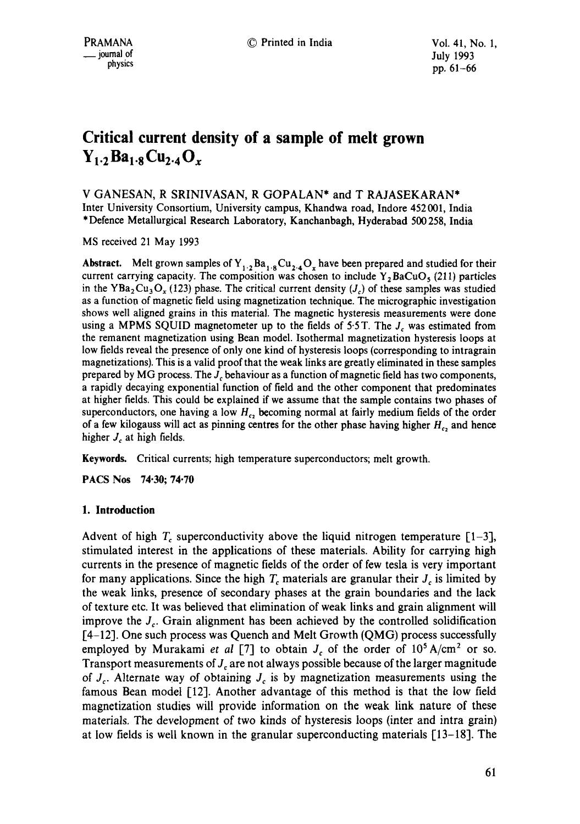# **Critical current density of a sample of melt grown**   $Y_1.2Ba_{1.8}Cu_{2.4}O_r$

V GANESAN, R SRINIVASAN, R GOPALAN\* and T RAJASEKARAN\* Inter University Consortium, University campus, Khandwa road, Indore 452 001, India \* Defence Metallurgical Research Laboratory, Kanchanbagh, Hyderabad 500 258, India

MS received 21 May 1993

**Abstract.** Melt grown samples of  $Y_{1,2}Ba_{1.8}Cu_{2.4}O_x$  have been prepared and studied for their current carrying capacity. The composition was chosen to include  $Y_2BaCuO<sub>5</sub>$  (211) particles in the YBa<sub>2</sub>Cu<sub>3</sub>O<sub>x</sub> (123) phase. The critical current density (*J<sub>c</sub>*) of these samples was studied as a function of magnetic field using magnetization technique. The micrographic investigation shows well aligned grains in this material. The magnetic hysteresis measurements were done using a MPMS SQUID magnetometer up to the fields of 5.5 T. The  $J<sub>c</sub>$  was estimated from the remanent magnetization using Bean model. Isothermal magnetization hysteresis loops at low fields reveal the presence of only one kind of hysteresis loops (corresponding to intragrain magnetizations). This is a valid proof that the weak links are greatly eliminated in these samples prepared by MG process. The  $J<sub>c</sub>$  behaviour as a function of magnetic field has two components, a rapidly decaying exponential function of field and the other component that predominates at higher fields. This could be explained if we assume that the sample contains two phases of superconductors, one having a low  $H_{c_2}$  becoming normal at fairly medium fields of the order of a few kilogauss will act as pinning centres for the other phase having higher  $H_c$ , and hence higher  $J_c$  at high fields.

Keywords. Critical currents; high temperature superconductors; melt growth.

PACS Nos 74.30; 74.70

## **1. Introduction**

Advent of high  $T_c$  superconductivity above the liquid nitrogen temperature [1-3], stimulated interest in the applications of these materials. Ability for carrying high currents in the presence of magnetic fields of the order of few tesla is very important for many applications. Since the high  $T_c$  materials are granular their  $J_c$  is limited by the weak links, presence of secondary phases at the grain boundaries and the lack of texture etc. It was believed that elimination of weak links and grain alignment will improve the  $J_c$ . Grain alignment has been achieved by the controlled solidification [4-12]. One such process was Quench and Melt Growth (QMG) process successfully employed by Murakami *et al* [7] to obtain  $J_c$  of the order of  $10^5$  A/cm<sup>2</sup> or so. Transport measurements of  $J<sub>c</sub>$  are not always possible because of the larger magnitude of  $J_c$ . Alternate way of obtaining  $J_c$  is by magnetization measurements using the famous Bean model [12]. Another advantage of this method is that the low field magnetization studies will provide information on the weak link nature of these materials. The development of two kinds of hysteresis loops (inter and intra grain) at low fields is well known in the granular superconducting materials [13-18]. The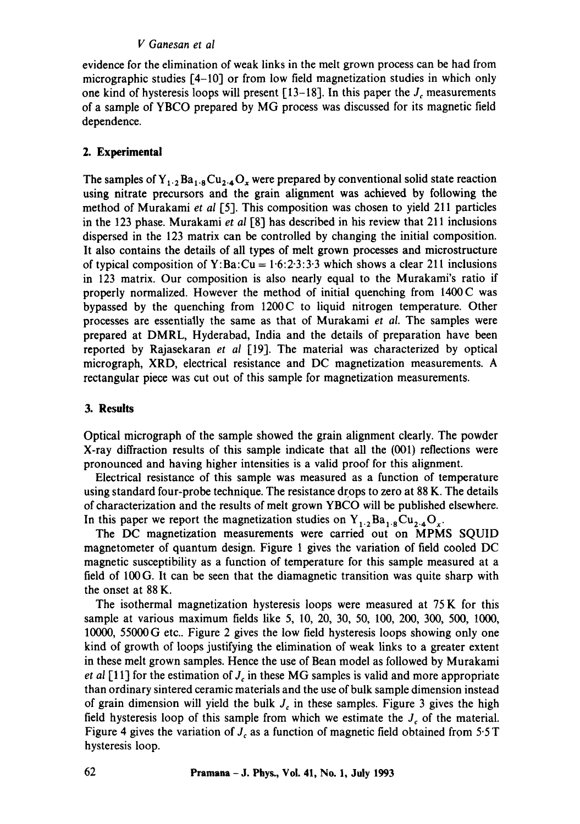#### *V Ganesan et al*

evidence for the elimination of weak links in the melt grown process can be had from micrographic studies [4-10] or from low field magnetization studies in which only one kind of hysteresis loops will present  $[13-18]$ . In this paper the  $J_c$  measurements of a sample of YBCO prepared by MG process was discussed for its magnetic field dependence.

## **2. Experimental**

The samples of  $Y_{1,2}Ba_{1,8}Cu_{2,4}O_x$  were prepared by conventional solid state reaction using nitrate precursors and the grain alignment was achieved by following the method of Murakami *et al* [5]. This composition was chosen to yield 211 particles in the 123 phase. Murakami *et al* [8] has described in his review that 211 inclusions dispersed in the 123 matrix can be controlled by changing the initial composition. It also contains the details of all types of melt grown processes and microstructure of typical composition of Y:Ba:Cu =  $1.6:2.3:3.3$  which shows a clear 211 inclusions in 123 matrix. Our composition is also nearly equal to the Murakami's ratio if properly normalized. However the method of initial quenching from 1400 C was bypassed by the quenching from 1200C to liquid nitrogen temperature. Other processes are essentially the same as that of Murakami *et al.* The samples were prepared at DMRL, Hyderabad, India and the details of preparation have been reported by Rajasekaran *et al* [19]. The material was characterized by optical micrograph, XRD, electrical resistance and DC magnetization measurements. A rectangular piece was cut out of this sample for magnetization measurements.

## **3. Results**

Optical micrograph of the sample showed the grain alignment clearly. The powder X-ray diffraction results of this sample indicate that all the (001) reflections were pronounced and having higher intensities is a valid proof for this alignment.

Electrical resistance of this sample was measured as a function of temperature using standard four-probe technique. The resistance drops to zero at 88 K. The details of characterization and the results of melt grown YBCO will be published elsewhere. In this paper we report the magnetization studies on  $Y_{1,2}Ba_{1,8}Cu_{2,4}O_{x}$ .

The DC magnetization measurements were carried out on MPMS SQUID magnetometer of quantum design. Figure 1 gives the variation of field cooled DC magnetic susceptibility as a function of temperature for this sample measured at a field of 100 G. It can be seen that the diamagnetic transition was quite sharp with the onset at 88 K.

The isothermal magnetization hysteresis loops were measured at  $75K$  for this sample at various maximum fields like 5, 10, 20, 30, 50, 100, 200, 300, 500, 1000, 10000, 55000G etc.. Figure 2 gives the low field hysteresis loops showing only one kind of growth of loops justifying the elimination of weak links to a greater extent in these melt grown samples. Hence the use of Bean model as followed by Murakami *et al* [11] for the estimation of  $J_c$  in these MG samples is valid and more appropriate than ordinary sintered ceramic materials and the use of bulk sample dimension instead of grain dimension will yield the bulk  $J_c$  in these samples. Figure 3 gives the high field hysteresis loop of this sample from which we estimate the  $J_c$  of the material. Figure 4 gives the variation of  $J_c$  as a function of magnetic field obtained from 5.5 T hysteresis loop.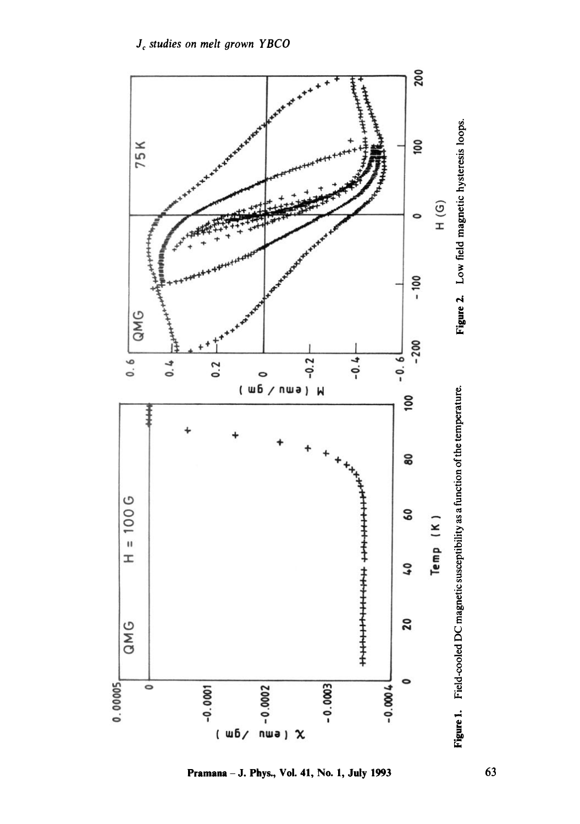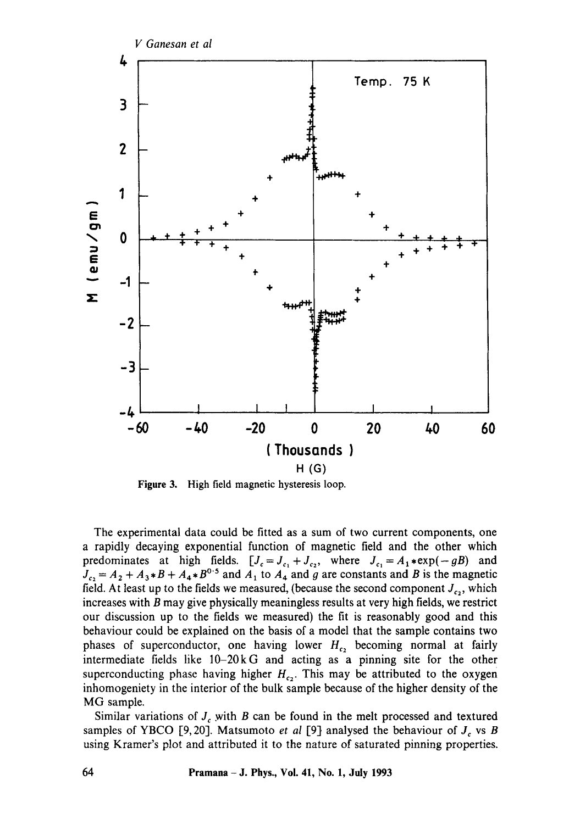

Figure 3. High field magnetic hysteresis loop.

The experimental data could be fitted as a sum of two current components, one a rapidly decaying exponential function of magnetic field and the other which predominates at high fields.  $[J_c=J_c,+J_c]$ , where  $J_c=A_1*exp(-gB)$  and  $J_c = A_2 + A_3*B + A_4*B^{0.5}$  and  $A_1$  to  $A_4$  and g are constants and B is the magnetic field. At least up to the fields we measured, (because the second component  $J_{c<sub>2</sub>}$ , which increases with  $B$  may give physically meaningless results at very high fields, we restrict our discussion up to the fields we measured) the fit is reasonably good and this behaviour could be explained on the basis of a model that the sample contains two phases of superconductor, one having lower  $H_{c<sub>2</sub>}$  becoming normal at fairly intermediate fields like 10-20kG and acting as a pinning site for the other superconducting phase having higher  $H_{c2}$ . This may be attributed to the oxygen inhomogeniety in the interior of the bulk sample because of the higher density of the MG sample.

Similar variations of  $J_c$  with B can be found in the melt processed and textured samples of YBCO [9, 20]. Matsumoto *et al* [9] analysed the behaviour of  $J_c$  vs B using Kramer's plot and attributed it to the nature of saturated pinning properties.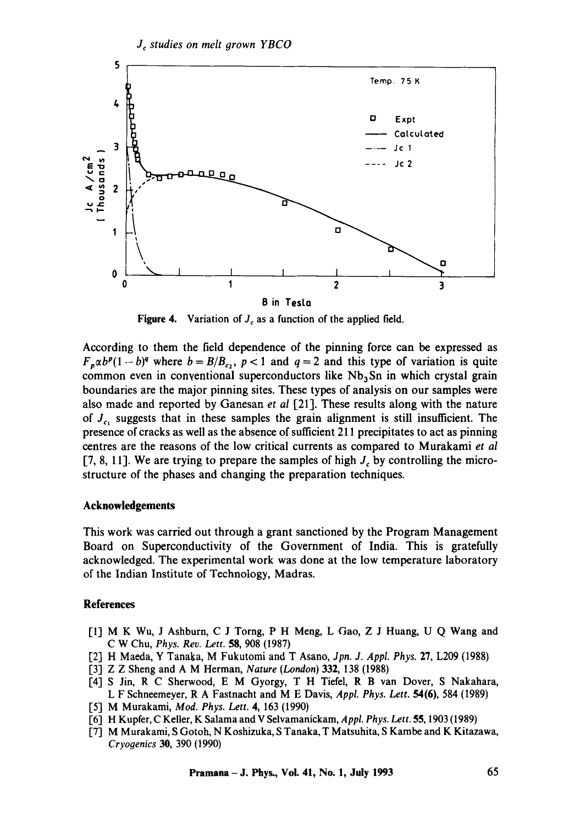

**Figure 4.** Variation of  $J_c$  as a function of the applied field.

According to them the field dependence of the pinning force can be expressed as  $F_{p}\alpha b^{p}(1-b)^{q}$  where  $b = B/B_{c}$ ,  $p < 1$  and  $q = 2$  and this type of variation is quite common even in conventional superconductors like  $Nb<sub>3</sub>Sn$  in which crystal grain boundaries are the major pinning sites. These types of analysis on our samples were also made and reported by Ganesan *et al* [21]. These results along with the nature of  $J_{c_1}$  suggests that in these samples the grain alignment is still insufficient. The presence of cracks as well as the absence of sufficient 211 precipitates to act as pinning centres are the reasons of the low critical currents as compared to Murakami *et al*  [7, 8, 11]. We are trying to prepare the samples of high  $J_c$  by controlling the microstructure of the phases and changing the preparation techniques.

#### **Acknowledgements**

This work was carried out through a grant sanctioned by the Program Management Board on Superconductivity of the Government of India. This is gratefully acknowledged. The experimental work was done at the low temperature laboratory of the Indian Institute of Technology, Madras.

#### **References**

- [1] M K Wu, J Ashburn, C J Torng, P H Meng, L Gao, Z J Huang, U Q Wang and C W Chu, *Phys. Rev. Lett.* 58, 908 (1987)
- ['2] H Maeda, Y Tanaka, M Fukutomi and T Asano, *Jpn. J. Appl. Phys.* 27, L209 (1988)
- [3] Z Z Sheng and A M Herman, *Nature (London)* 332, 138 (1988)
- [4] S Jin, R C Sherwood, E M Gyorgy, T H Tiefel, R B van Dover, S Nakahara, L F Schneemeyer, R A Fastnacht and M E Davis, *Appl. Phys. Lett.* 54(6), 584 (1989)
- ['5] M Murakami, *Mad. Phys. Lett.* 4, 163 (1990)
- ['6] H Kupfer, C Keller, K Salama and V Selvamanickam, *Appl. Phys. Lett.* 55, 1903 (1989)
- 17] M Murakami, S Gotoh, N Koshizuka, S Tanaka, T Matsuhita, S Kambe and K Kitazawa, *Cryogenics 30,* 390 (1990)